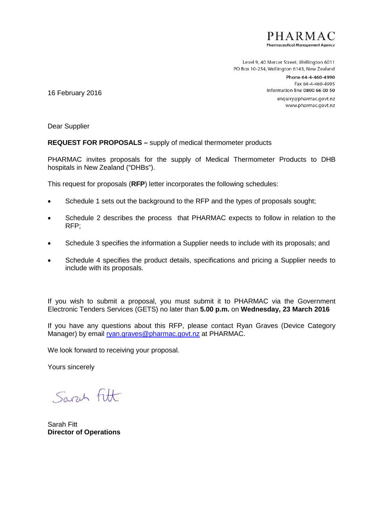

Level 9, 40 Mercer Street, Wellington 6011 PO Box 10-254, Wellington 6143, New Zealand

> Phone 64-4-460-4990 Fax 64-4-460-4995 Information line 0800 66 00 50 enquiry@pharmac.govt.nz www.pharmac.govt.nz

16 February 2016

Dear Supplier

#### **REQUEST FOR PROPOSALS –** supply of medical thermometer products

PHARMAC invites proposals for the supply of Medical Thermometer Products to DHB hospitals in New Zealand ("DHBs").

This request for proposals (**RFP**) letter incorporates the following schedules:

- Schedule 1 sets out the background to the RFP and the types of proposals sought;
- Schedule 2 describes the process that PHARMAC expects to follow in relation to the RFP;
- Schedule 3 specifies the information a Supplier needs to include with its proposals; and
- Schedule 4 specifies the product details, specifications and pricing a Supplier needs to include with its proposals.

If you wish to submit a proposal, you must submit it to PHARMAC via the Government Electronic Tenders Services (GETS) no later than **5.00 p.m.** on **Wednesday, 23 March 2016**

If you have any questions about this RFP, please contact Ryan Graves (Device Category Manager) by email [ryan.graves@pharmac.govt.nz](mailto:ryan.graves@pharmac.govt.nz) at PHARMAC.

We look forward to receiving your proposal.

Yours sincerely

Sarch Fitt

Sarah Fitt **Director of Operations**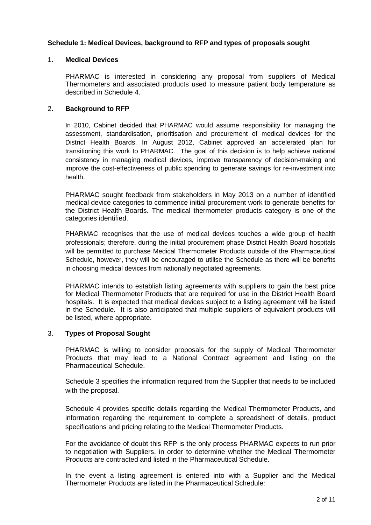### **Schedule 1: Medical Devices, background to RFP and types of proposals sought**

#### 1. **Medical Devices**

PHARMAC is interested in considering any proposal from suppliers of Medical Thermometers and associated products used to measure patient body temperature as described in Schedule 4.

#### 2. **Background to RFP**

In 2010, Cabinet decided that PHARMAC would assume responsibility for managing the assessment, standardisation, prioritisation and procurement of medical devices for the District Health Boards. In August 2012, Cabinet approved an accelerated plan for transitioning this work to PHARMAC. The goal of this decision is to help achieve national consistency in managing medical devices, improve transparency of decision-making and improve the cost-effectiveness of public spending to generate savings for re-investment into health.

PHARMAC sought feedback from stakeholders in May 2013 on a number of identified medical device categories to commence initial procurement work to generate benefits for the District Health Boards. The medical thermometer products category is one of the categories identified.

PHARMAC recognises that the use of medical devices touches a wide group of health professionals; therefore, during the initial procurement phase District Health Board hospitals will be permitted to purchase Medical Thermometer Products outside of the Pharmaceutical Schedule, however, they will be encouraged to utilise the Schedule as there will be benefits in choosing medical devices from nationally negotiated agreements.

PHARMAC intends to establish listing agreements with suppliers to gain the best price for Medical Thermometer Products that are required for use in the District Health Board hospitals. It is expected that medical devices subject to a listing agreement will be listed in the Schedule. It is also anticipated that multiple suppliers of equivalent products will be listed, where appropriate.

#### 3. **Types of Proposal Sought**

PHARMAC is willing to consider proposals for the supply of Medical Thermometer Products that may lead to a National Contract agreement and listing on the Pharmaceutical Schedule.

Schedule 3 specifies the information required from the Supplier that needs to be included with the proposal.

Schedule 4 provides specific details regarding the Medical Thermometer Products, and information regarding the requirement to complete a spreadsheet of details, product specifications and pricing relating to the Medical Thermometer Products.

For the avoidance of doubt this RFP is the only process PHARMAC expects to run prior to negotiation with Suppliers, in order to determine whether the Medical Thermometer Products are contracted and listed in the Pharmaceutical Schedule.

In the event a listing agreement is entered into with a Supplier and the Medical Thermometer Products are listed in the Pharmaceutical Schedule: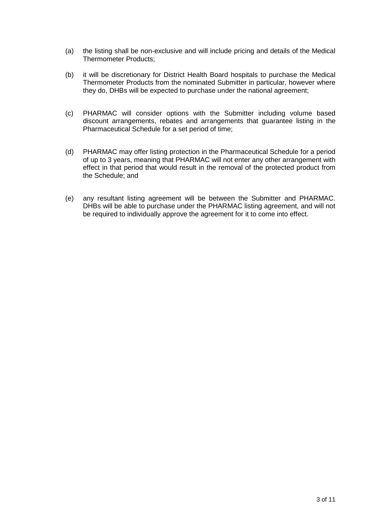- (a) the listing shall be non-exclusive and will include pricing and details of the Medical Thermometer Products;
- (b) it will be discretionary for District Health Board hospitals to purchase the Medical Thermometer Products from the nominated Submitter in particular, however where they do, DHBs will be expected to purchase under the national agreement;
- (c) PHARMAC will consider options with the Submitter including volume based discount arrangements, rebates and arrangements that guarantee listing in the Pharmaceutical Schedule for a set period of time;
- (d) PHARMAC may offer listing protection in the Pharmaceutical Schedule for a period of up to 3 years, meaning that PHARMAC will not enter any other arrangement with effect in that period that would result in the removal of the protected product from the Schedule; and
- (e) any resultant listing agreement will be between the Submitter and PHARMAC. DHBs will be able to purchase under the PHARMAC listing agreement, and will not be required to individually approve the agreement for it to come into effect.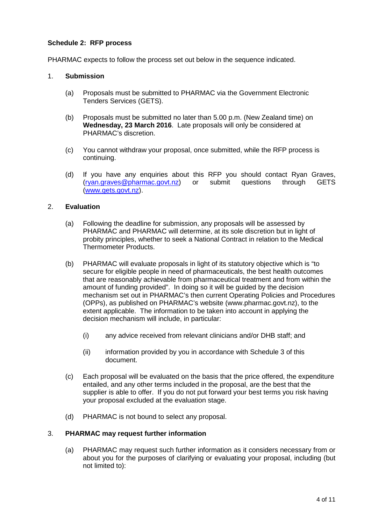## **Schedule 2: RFP process**

PHARMAC expects to follow the process set out below in the sequence indicated.

#### 1. **Submission**

- (a) Proposals must be submitted to PHARMAC via the Government Electronic Tenders Services (GETS).
- (b) Proposals must be submitted no later than 5.00 p.m. (New Zealand time) on **Wednesday, 23 March 2016**. Late proposals will only be considered at PHARMAC's discretion.
- (c) You cannot withdraw your proposal, once submitted, while the RFP process is continuing.
- (d) If you have any enquiries about this RFP you should contact Ryan Graves,<br>(rvan.graves@pharmac.govt.nz) or submit questions through GETS  $(rvan.araves@phantanac.qovt.nz)$ [\(www.gets.govt.nz\)](http://www.gets.govt.nz/).

#### 2. **Evaluation**

- (a) Following the deadline for submission, any proposals will be assessed by PHARMAC and PHARMAC will determine, at its sole discretion but in light of probity principles, whether to seek a National Contract in relation to the Medical Thermometer Products.
- (b) PHARMAC will evaluate proposals in light of its statutory objective which is "to secure for eligible people in need of pharmaceuticals, the best health outcomes that are reasonably achievable from pharmaceutical treatment and from within the amount of funding provided". In doing so it will be guided by the decision mechanism set out in PHARMAC's then current Operating Policies and Procedures (OPPs), as published on PHARMAC's website (www.pharmac.govt.nz), to the extent applicable. The information to be taken into account in applying the decision mechanism will include, in particular:
	- (i) any advice received from relevant clinicians and/or DHB staff; and
	- (ii) information provided by you in accordance with Schedule 3 of this document.
- (c) Each proposal will be evaluated on the basis that the price offered, the expenditure entailed, and any other terms included in the proposal, are the best that the supplier is able to offer. If you do not put forward your best terms you risk having your proposal excluded at the evaluation stage.
- (d) PHARMAC is not bound to select any proposal.

#### 3. **PHARMAC may request further information**

(a) PHARMAC may request such further information as it considers necessary from or about you for the purposes of clarifying or evaluating your proposal, including (but not limited to):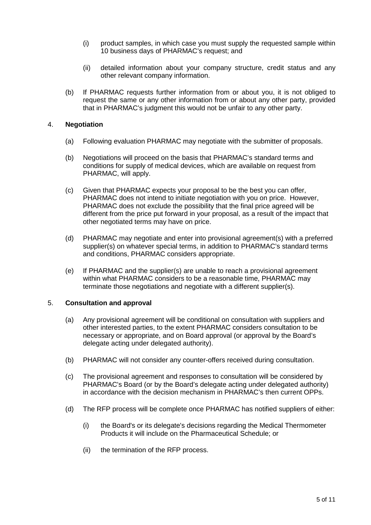- (i) product samples, in which case you must supply the requested sample within 10 business days of PHARMAC's request; and
- (ii) detailed information about your company structure, credit status and any other relevant company information.
- (b) If PHARMAC requests further information from or about you, it is not obliged to request the same or any other information from or about any other party, provided that in PHARMAC's judgment this would not be unfair to any other party.

#### 4. **Negotiation**

- (a) Following evaluation PHARMAC may negotiate with the submitter of proposals.
- (b) Negotiations will proceed on the basis that PHARMAC's standard terms and conditions for supply of medical devices, which are available on request from PHARMAC, will apply.
- (c) Given that PHARMAC expects your proposal to be the best you can offer, PHARMAC does not intend to initiate negotiation with you on price. However, PHARMAC does not exclude the possibility that the final price agreed will be different from the price put forward in your proposal, as a result of the impact that other negotiated terms may have on price.
- (d) PHARMAC may negotiate and enter into provisional agreement(s) with a preferred supplier(s) on whatever special terms, in addition to PHARMAC's standard terms and conditions, PHARMAC considers appropriate.
- (e) If PHARMAC and the supplier(s) are unable to reach a provisional agreement within what PHARMAC considers to be a reasonable time, PHARMAC may terminate those negotiations and negotiate with a different supplier(s).

#### 5. **Consultation and approval**

- (a) Any provisional agreement will be conditional on consultation with suppliers and other interested parties, to the extent PHARMAC considers consultation to be necessary or appropriate, and on Board approval (or approval by the Board's delegate acting under delegated authority).
- (b) PHARMAC will not consider any counter-offers received during consultation.
- (c) The provisional agreement and responses to consultation will be considered by PHARMAC's Board (or by the Board's delegate acting under delegated authority) in accordance with the decision mechanism in PHARMAC's then current OPPs.
- (d) The RFP process will be complete once PHARMAC has notified suppliers of either:
	- (i) the Board's or its delegate's decisions regarding the Medical Thermometer Products it will include on the Pharmaceutical Schedule; or
	- (ii) the termination of the RFP process.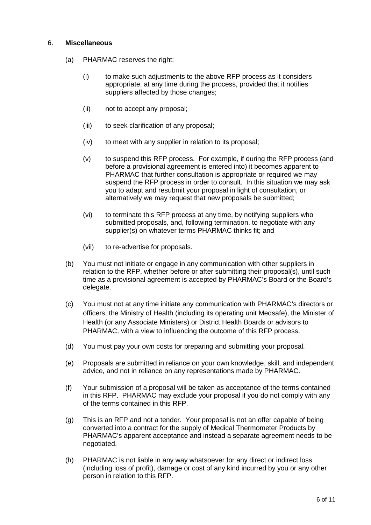#### 6. **Miscellaneous**

- (a) PHARMAC reserves the right:
	- (i) to make such adjustments to the above RFP process as it considers appropriate, at any time during the process, provided that it notifies suppliers affected by those changes;
	- (ii) not to accept any proposal;
	- (iii) to seek clarification of any proposal;
	- (iv) to meet with any supplier in relation to its proposal;
	- (v) to suspend this RFP process. For example, if during the RFP process (and before a provisional agreement is entered into) it becomes apparent to PHARMAC that further consultation is appropriate or required we may suspend the RFP process in order to consult. In this situation we may ask you to adapt and resubmit your proposal in light of consultation, or alternatively we may request that new proposals be submitted;
	- (vi) to terminate this RFP process at any time, by notifying suppliers who submitted proposals, and, following termination, to negotiate with any supplier(s) on whatever terms PHARMAC thinks fit; and
	- (vii) to re-advertise for proposals.
- (b) You must not initiate or engage in any communication with other suppliers in relation to the RFP, whether before or after submitting their proposal(s), until such time as a provisional agreement is accepted by PHARMAC's Board or the Board's delegate.
- (c) You must not at any time initiate any communication with PHARMAC's directors or officers, the Ministry of Health (including its operating unit Medsafe), the Minister of Health (or any Associate Ministers) or District Health Boards or advisors to PHARMAC, with a view to influencing the outcome of this RFP process.
- (d) You must pay your own costs for preparing and submitting your proposal.
- (e) Proposals are submitted in reliance on your own knowledge, skill, and independent advice, and not in reliance on any representations made by PHARMAC.
- (f) Your submission of a proposal will be taken as acceptance of the terms contained in this RFP. PHARMAC may exclude your proposal if you do not comply with any of the terms contained in this RFP.
- (g) This is an RFP and not a tender. Your proposal is not an offer capable of being converted into a contract for the supply of Medical Thermometer Products by PHARMAC's apparent acceptance and instead a separate agreement needs to be negotiated.
- (h) PHARMAC is not liable in any way whatsoever for any direct or indirect loss (including loss of profit), damage or cost of any kind incurred by you or any other person in relation to this RFP.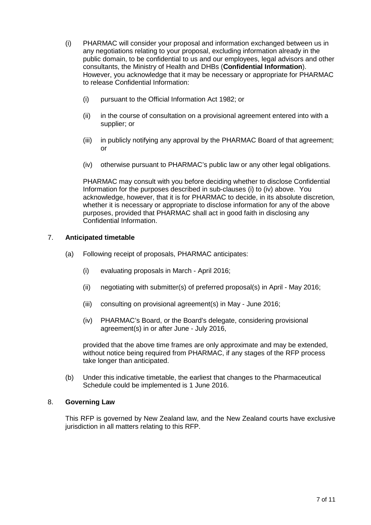- (i) PHARMAC will consider your proposal and information exchanged between us in any negotiations relating to your proposal, excluding information already in the public domain, to be confidential to us and our employees, legal advisors and other consultants, the Ministry of Health and DHBs (**Confidential Information**). However, you acknowledge that it may be necessary or appropriate for PHARMAC to release Confidential Information:
	- (i) pursuant to the Official Information Act 1982; or
	- (ii) in the course of consultation on a provisional agreement entered into with a supplier; or
	- (iii) in publicly notifying any approval by the PHARMAC Board of that agreement; or
	- (iv) otherwise pursuant to PHARMAC's public law or any other legal obligations.

PHARMAC may consult with you before deciding whether to disclose Confidential Information for the purposes described in sub-clauses (i) to (iv) above. You acknowledge, however, that it is for PHARMAC to decide, in its absolute discretion, whether it is necessary or appropriate to disclose information for any of the above purposes, provided that PHARMAC shall act in good faith in disclosing any Confidential Information.

#### 7. **Anticipated timetable**

- (a) Following receipt of proposals, PHARMAC anticipates:
	- (i) evaluating proposals in March April 2016;
	- (ii) negotiating with submitter(s) of preferred proposal(s) in April May 2016;
	- (iii) consulting on provisional agreement(s) in May June 2016;
	- (iv) PHARMAC's Board, or the Board's delegate, considering provisional agreement(s) in or after June - July 2016,

provided that the above time frames are only approximate and may be extended, without notice being required from PHARMAC, if any stages of the RFP process take longer than anticipated.

(b) Under this indicative timetable, the earliest that changes to the Pharmaceutical Schedule could be implemented is 1 June 2016.

#### 8. **Governing Law**

This RFP is governed by New Zealand law, and the New Zealand courts have exclusive jurisdiction in all matters relating to this RFP.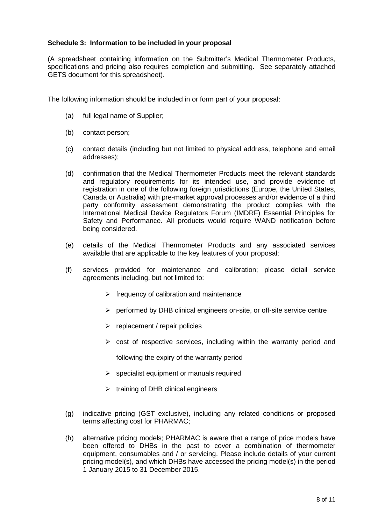#### **Schedule 3: Information to be included in your proposal**

(A spreadsheet containing information on the Submitter's Medical Thermometer Products, specifications and pricing also requires completion and submitting. See separately attached GETS document for this spreadsheet).

The following information should be included in or form part of your proposal:

- (a) full legal name of Supplier;
- (b) contact person;
- (c) contact details (including but not limited to physical address, telephone and email addresses);
- (d) confirmation that the Medical Thermometer Products meet the relevant standards and regulatory requirements for its intended use, and provide evidence of registration in one of the following foreign jurisdictions (Europe, the United States, Canada or Australia) with pre-market approval processes and/or evidence of a third party conformity assessment demonstrating the product complies with the International Medical Device Regulators Forum (IMDRF) Essential Principles for Safety and Performance. All products would require WAND notification before being considered.
- (e) details of the Medical Thermometer Products and any associated services available that are applicable to the key features of your proposal;
- (f) services provided for maintenance and calibration; please detail service agreements including, but not limited to:
	- $\triangleright$  frequency of calibration and maintenance
	- $\triangleright$  performed by DHB clinical engineers on-site, or off-site service centre
	- $\triangleright$  replacement / repair policies
	- $\triangleright$  cost of respective services, including within the warranty period and

following the expiry of the warranty period

- $\triangleright$  specialist equipment or manuals required
- $\triangleright$  training of DHB clinical engineers
- (g) indicative pricing (GST exclusive), including any related conditions or proposed terms affecting cost for PHARMAC;
- (h) alternative pricing models; PHARMAC is aware that a range of price models have been offered to DHBs in the past to cover a combination of thermometer equipment, consumables and / or servicing. Please include details of your current pricing model(s), and which DHBs have accessed the pricing model(s) in the period 1 January 2015 to 31 December 2015.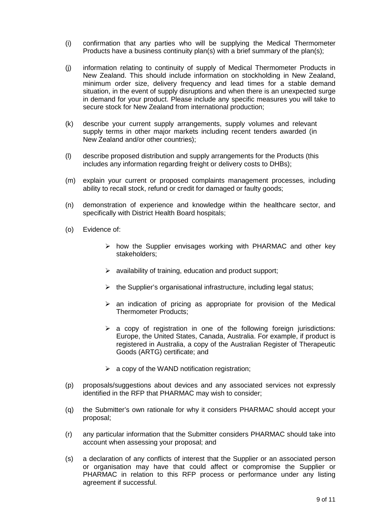- (i) confirmation that any parties who will be supplying the Medical Thermometer Products have a business continuity plan(s) with a brief summary of the plan(s);
- (j) information relating to continuity of supply of Medical Thermometer Products in New Zealand. This should include information on stockholding in New Zealand, minimum order size, delivery frequency and lead times for a stable demand situation, in the event of supply disruptions and when there is an unexpected surge in demand for your product. Please include any specific measures you will take to secure stock for New Zealand from international production;
- (k) describe your current supply arrangements, supply volumes and relevant supply terms in other major markets including recent tenders awarded (in New Zealand and/or other countries);
- (l) describe proposed distribution and supply arrangements for the Products (this includes any information regarding freight or delivery costs to DHBs);
- (m) explain your current or proposed complaints management processes, including ability to recall stock, refund or credit for damaged or faulty goods;
- (n) demonstration of experience and knowledge within the healthcare sector, and specifically with District Health Board hospitals;
- (o) Evidence of:
	- $\triangleright$  how the Supplier envisages working with PHARMAC and other key stakeholders;
	- $\triangleright$  availability of training, education and product support;
	- $\triangleright$  the Supplier's organisational infrastructure, including legal status;
	- $\geq$  an indication of pricing as appropriate for provision of the Medical Thermometer Products;
	- $\triangleright$  a copy of registration in one of the following foreign jurisdictions: Europe, the United States, Canada, Australia. For example, if product is registered in Australia, a copy of the Australian Register of Therapeutic Goods (ARTG) certificate; and
	- $\triangleright$  a copy of the WAND notification registration;
- (p) proposals/suggestions about devices and any associated services not expressly identified in the RFP that PHARMAC may wish to consider;
- (q) the Submitter's own rationale for why it considers PHARMAC should accept your proposal;
- (r) any particular information that the Submitter considers PHARMAC should take into account when assessing your proposal; and
- (s) a declaration of any conflicts of interest that the Supplier or an associated person or organisation may have that could affect or compromise the Supplier or PHARMAC in relation to this RFP process or performance under any listing agreement if successful.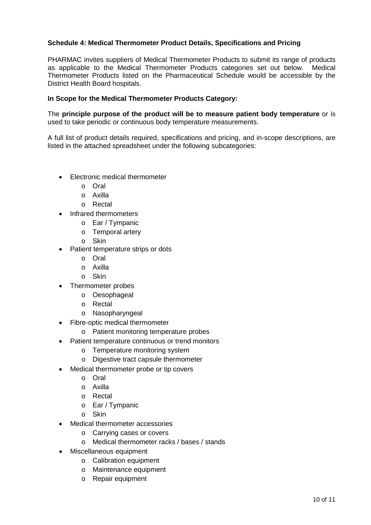## **Schedule 4: Medical Thermometer Product Details, Specifications and Pricing**

PHARMAC invites suppliers of Medical Thermometer Products to submit its range of products as applicable to the Medical Thermometer Products categories set out below. Medical Thermometer Products listed on the Pharmaceutical Schedule would be accessible by the District Health Board hospitals.

## **In Scope for the Medical Thermometer Products Category:**

The **principle purpose of the product will be to measure patient body temperature** or is used to take periodic or continuous body temperature measurements.

A full list of product details required, specifications and pricing, and in-scope descriptions, are listed in the attached spreadsheet under the following subcategories:

- Electronic medical thermometer
	- o Oral
	- o Axilla
	- o Rectal
- Infrared thermometers
	- o Ear / Tympanic
	- o Temporal artery
	- o Skin
- Patient temperature strips or dots
	- o Oral
	- o Axilla
	- o Skin
- Thermometer probes
	- o Oesophageal
	- o Rectal
	- o Nasopharyngeal
- Fibre-optic medical thermometer
	- o Patient monitoring temperature probes
- Patient temperature continuous or trend monitors
	- o Temperature monitoring system
	- o Digestive tract capsule thermometer
- Medical thermometer probe or tip covers
	- o Oral
	- o Axilla
	- o Rectal
	- o Ear / Tympanic
	- o Skin
- Medical thermometer accessories
	- o Carrying cases or covers
	- o Medical thermometer racks / bases / stands
- Miscellaneous equipment
	- o Calibration equipment
	- o Maintenance equipment
	- o Repair equipment